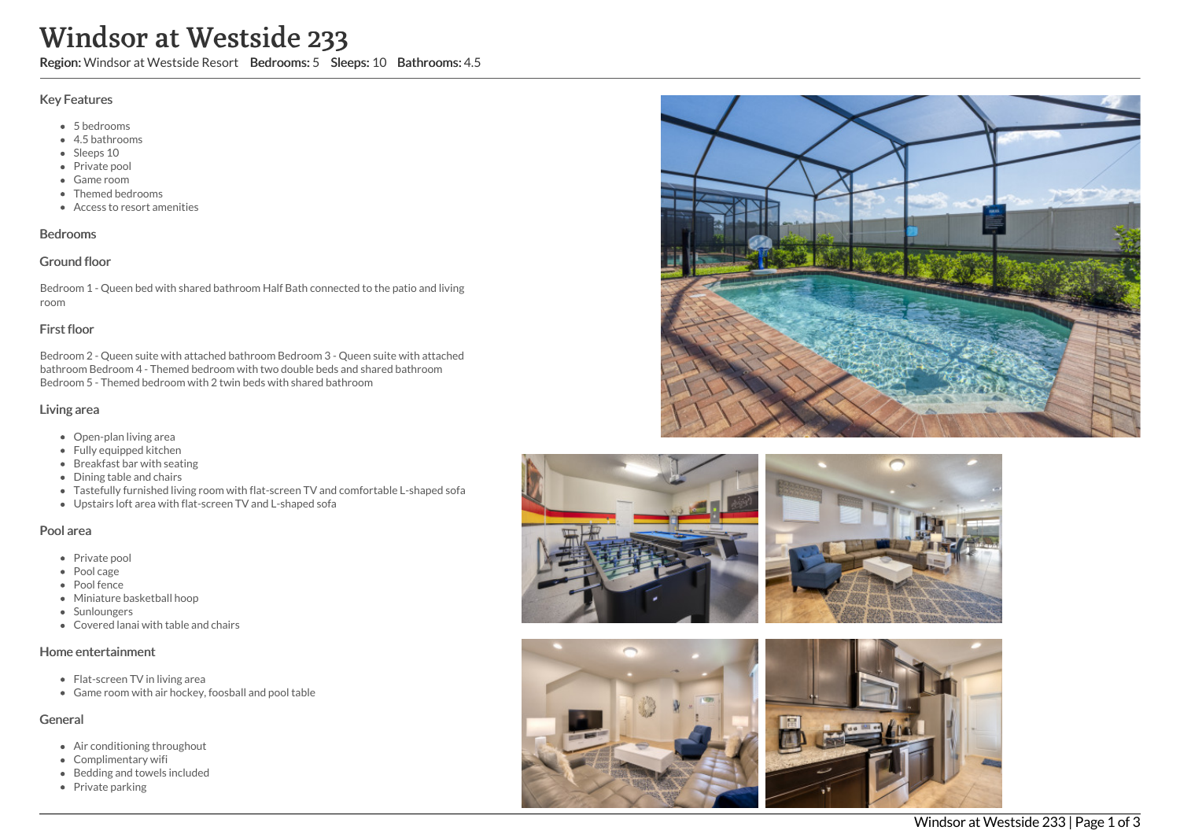# Windsor at Westside 233

Region: Windsor at Westside Resort Bedrooms: 5 Sleeps: 10 Bathrooms: 4.5

#### Key Features

- 5 bedrooms
- 4.5 bathrooms
- Sleeps 10
- Private pool
- Game room
- Themed bedrooms
- Access to resort amenities

## Bedrooms

#### Ground floor

Bedroom 1 - Queen bed with shared bathroom Half Bath connected to the patio and living room

## First floor

Bedroom 2 - Queen suite with attached bathroom Bedroom 3 - Queen suite with attached bathroom Bedroom 4 - Themed bedroom with two double beds and shared bathroom Bedroom 5 - Themed bedroom with 2 twin beds with shared bathroom

## Living area

- Open-plan living area
- Fully equipped kitchen
- Breakfast bar with seating
- Dining table and chairs
- Tastefully furnished living room with flat-screen TV and comfortable L-shaped sofa
- Upstairs loft area with flat-screen TV and L-shaped sofa

#### Pool area

- Private pool
- Pool cage
- Pool fence
- Miniature basketball hoop
- Sunloungers
- Covered lanai with table and chairs

#### Home entertainment

- Flat-screen TV in living area
- Game room with air hockey, foosball and pool table

# General

- Air conditioning throughout
- Complimentary wifi
- Bedding and towels included
- Private parking









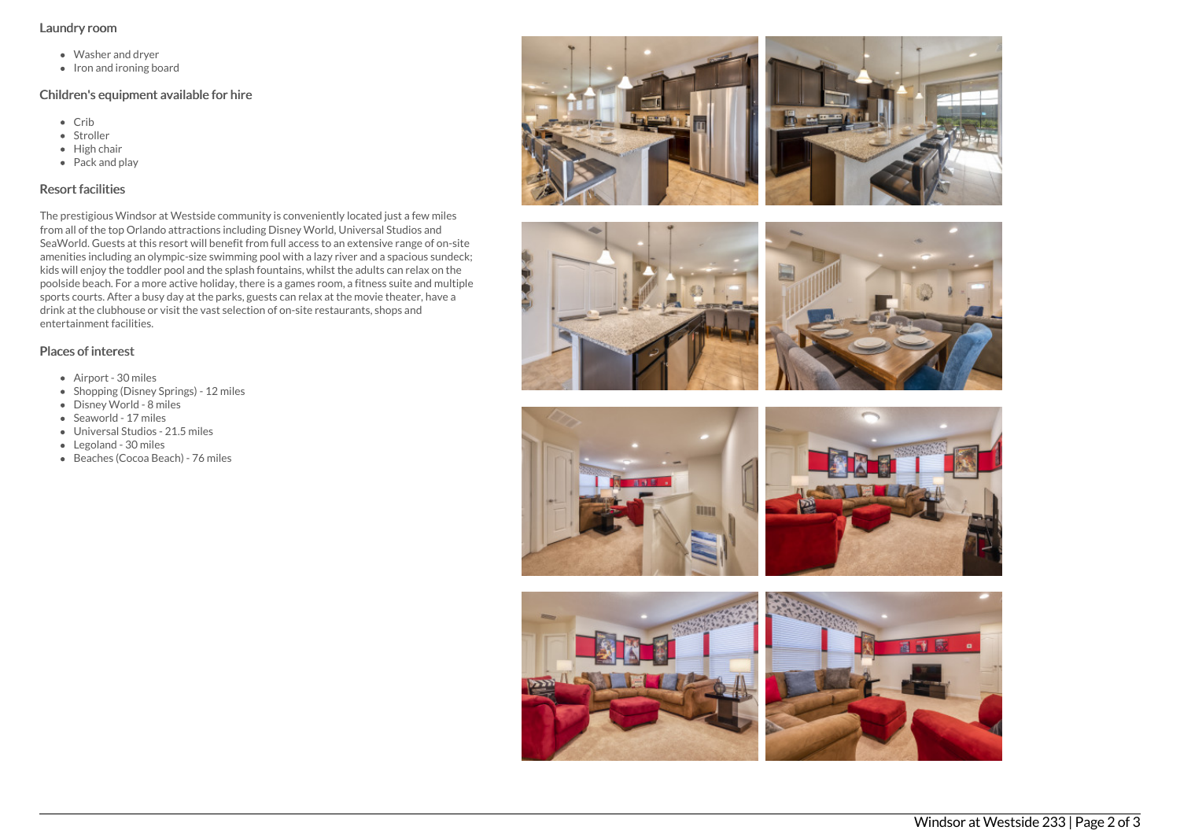#### Laundry room

- Washer and dryer
- Iron and ironing board

## Children's equipment available for hire

- Crib
- Stroller
- $\bullet$  High chair
- Pack and play

# Resort facilities

The prestigious Windsor at Westside community is conveniently located just a few miles from all of the top Orlando attractions including Disney World, Universal Studios and SeaWorld. Guests at this resort will benefit from full access to an extensive range of on-site amenities including an olympic-size swimming pool with a lazy river and a spacious sundeck; kids will enjoy the toddler pool and the splash fountains, whilst the adults can relax on the poolside beach. For a more active holiday, there is a games room, a fitness suite and multiple sports courts. After a busy day at the parks, guests can relax at the movie theater, have a drink at the clubhouse or visit the vast selection of on-site restaurants, shops and entertainment facilities.

# Places of interest

- Airport 30 miles
- Shopping (Disney Springs) 12 miles
- Disney World 8 miles
- Seaworld 17 miles
- Universal Studios 21.5 miles
- Legoland 30 miles
- Beaches (Cocoa Beach) 76 miles